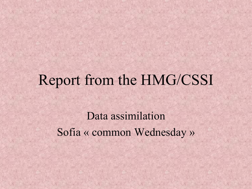# Report from the HMG/CSSI

Data assimilation Sofia « common Wednesday »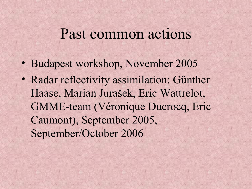#### Past common actions

- Budapest workshop, November 2005
- Radar reflectivity assimilation: Günther Haase, Marian Jurašek, Eric Wattrelot, GMME-team (Véronique Ducrocq, Eric Caumont), September 2005, September/October 2006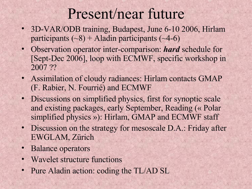## Present/near future

- 3D-VAR/ODB training, Budapest, June 6-10 2006, Hirlam participants  $({\sim}8)$  + Aladin participants  $({\sim}4{\text -}6)$
- Observation operator inter-comparison: *hard* schedule for [Sept-Dec 2006], loop with ECMWF, specific workshop in 2007 ??
- Assimilation of cloudy radiances: Hirlam contacts GMAP (F. Rabier, N. Fourrié) and ECMWF
- Discussions on simplified physics, first for synoptic scale and existing packages, early September, Reading (« Polar simplified physics »): Hirlam, GMAP and ECMWF staff
- Discussion on the strategy for mesoscale D.A.: Friday after EWGLAM, Zürich
- Balance operators
- Wavelet structure functions
- Pure Aladin action: coding the TL/AD SL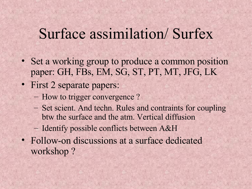### Surface assimilation/ Surfex

- Set a working group to produce a common position paper: GH, FBs, EM, SG, ST, PT, MT, JFG, LK
- First 2 separate papers:
	- How to trigger convergence ?
	- Set scient. And techn. Rules and contraints for coupling btw the surface and the atm. Vertical diffusion
	- Identify possible conflicts between A&H
- Follow-on discussions at a surface dedicated workshop ?